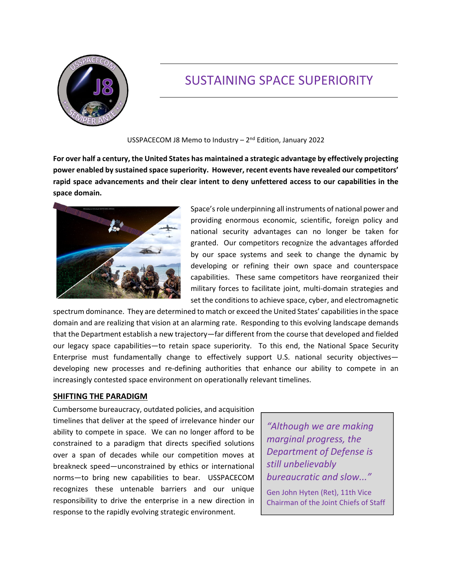

# SUSTAINING SPACE SUPERIORITY

USSPACECOM J8 Memo to Industry – 2nd Edition, January 2022

**For over half a century, the United States has maintained a strategic advantage by effectively projecting power enabled by sustained space superiority. However, recent events have revealed our competitors' rapid space advancements and their clear intent to deny unfettered access to our capabilities in the space domain.**



Space's role underpinning all instruments of national power and providing enormous economic, scientific, foreign policy and national security advantages can no longer be taken for granted. Our competitors recognize the advantages afforded by our space systems and seek to change the dynamic by developing or refining their own space and counterspace capabilities. These same competitors have reorganized their military forces to facilitate joint, multi‐domain strategies and set the conditions to achieve space, cyber, and electromagnetic

spectrum dominance. They are determined to match or exceed the United States' capabilities in the space domain and are realizing that vision at an alarming rate. Responding to this evolving landscape demands that the Department establish a new trajectory—far different from the course that developed and fielded our legacy space capabilities—to retain space superiority. To this end, the National Space Security Enterprise must fundamentally change to effectively support U.S. national security objectives developing new processes and re‐defining authorities that enhance our ability to compete in an increasingly contested space environment on operationally relevant timelines.

## **SHIFTING THE PARADIGM**

Cumbersome bureaucracy, outdated policies, and acquisition timelines that deliver at the speed of irrelevance hinder our ability to compete in space. We can no longer afford to be constrained to a paradigm that directs specified solutions over a span of decades while our competition moves at breakneck speed—unconstrained by ethics or international norms—to bring new capabilities to bear. USSPACECOM recognizes these untenable barriers and our unique responsibility to drive the enterprise in a new direction in response to the rapidly evolving strategic environment.

*"Although we are making marginal progress, the Department of Defense is still unbelievably bureaucratic and slow..."* Gen John Hyten (Ret), 11th Vice Chairman of the Joint Chiefs of Staff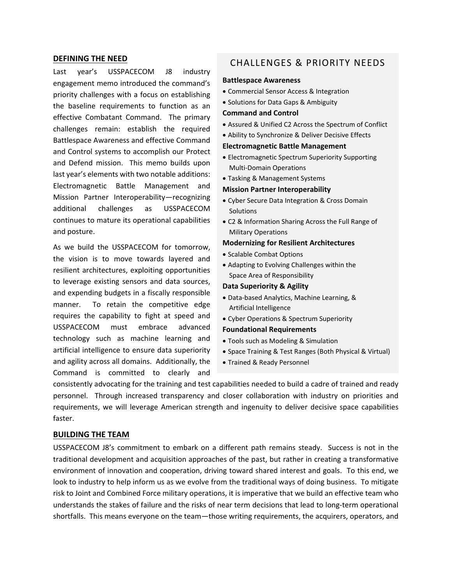#### **DEFINING THE NEED**

Last year's USSPACECOM J8 industry engagement memo introduced the command's priority challenges with a focus on establishing the baseline requirements to function as an effective Combatant Command. The primary challenges remain: establish the required Battlespace Awareness and effective Command and Control systems to accomplish our Protect and Defend mission. This memo builds upon last year's elements with two notable additions: Electromagnetic Battle Management and Mission Partner Interoperability—recognizing additional challenges as USSPACECOM continues to mature its operational capabilities and posture.

As we build the USSPACECOM for tomorrow, the vision is to move towards layered and resilient architectures, exploiting opportunities to leverage existing sensors and data sources, and expending budgets in a fiscally responsible manner. To retain the competitive edge requires the capability to fight at speed and USSPACECOM must embrace advanced technology such as machine learning and artificial intelligence to ensure data superiority and agility across all domains. Additionally, the Command is committed to clearly and

# CHALLENGES & PRIORITY NEEDS

#### **Battlespace Awareness**

- Commercial Sensor Access & Integration
- Solutions for Data Gaps & Ambiguity

#### **Command and Control**

- Assured & Unified C2 Across the Spectrum of Conflict
- Ability to Synchronize & Deliver Decisive Effects

#### **Electromagnetic Battle Management**

- Electromagnetic Spectrum Superiority Supporting Multi‐Domain Operations
- Tasking & Management Systems

#### **Mission Partner Interoperability**

- Cyber Secure Data Integration & Cross Domain Solutions
- C2 & Information Sharing Across the Full Range of Military Operations

#### **Modernizing for Resilient Architectures**

- Scalable Combat Options
- Adapting to Evolving Challenges within the Space Area of Responsibility

#### **Data Superiority & Agility**

- Data‐based Analytics, Machine Learning, & Artificial Intelligence
- Cyber Operations & Spectrum Superiority

### **Foundational Requirements**

- Tools such as Modeling & Simulation
- Space Training & Test Ranges (Both Physical & Virtual)
- Trained & Ready Personnel

consistently advocating for the training and test capabilities needed to build a cadre of trained and ready personnel. Through increased transparency and closer collaboration with industry on priorities and requirements, we will leverage American strength and ingenuity to deliver decisive space capabilities faster.

#### **BUILDING THE TEAM**

USSPACECOM J8's commitment to embark on a different path remains steady. Success is not in the traditional development and acquisition approaches of the past, but rather in creating a transformative environment of innovation and cooperation, driving toward shared interest and goals. To this end, we look to industry to help inform us as we evolve from the traditional ways of doing business. To mitigate risk to Joint and Combined Force military operations, it is imperative that we build an effective team who understands the stakes of failure and the risks of near term decisions that lead to long‐term operational shortfalls. This means everyone on the team—those writing requirements, the acquirers, operators, and